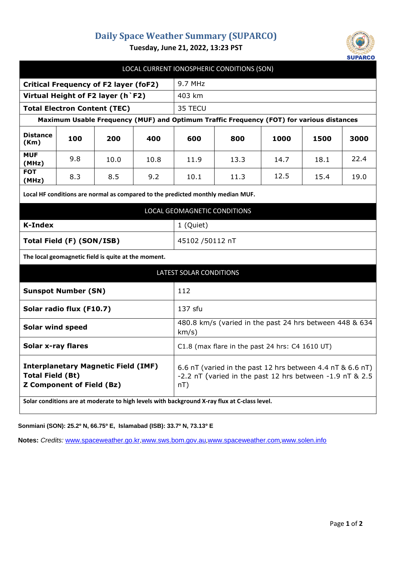## **Daily Space Weather Summary (SUPARCO)**



**Tuesday, June 21, 2022, 13:23 PST**

| LOCAL CURRENT IONOSPHERIC CONDITIONS (SON)                                                                                                                                                                |      |      |                                                                                                                                  |      |      |      |      |
|-----------------------------------------------------------------------------------------------------------------------------------------------------------------------------------------------------------|------|------|----------------------------------------------------------------------------------------------------------------------------------|------|------|------|------|
| <b>Critical Frequency of F2 layer (foF2)</b>                                                                                                                                                              |      |      | 9.7 MHz                                                                                                                          |      |      |      |      |
| Virtual Height of F2 layer (h `F2)                                                                                                                                                                        |      |      | 403 km                                                                                                                           |      |      |      |      |
| <b>Total Electron Content (TEC)</b>                                                                                                                                                                       |      |      | 35 TECU                                                                                                                          |      |      |      |      |
| Maximum Usable Frequency (MUF) and Optimum Traffic Frequency (FOT) for various distances                                                                                                                  |      |      |                                                                                                                                  |      |      |      |      |
| <b>Distance</b><br>100<br>(Km)                                                                                                                                                                            | 200  | 400  | 600                                                                                                                              | 800  | 1000 | 1500 | 3000 |
| <b>MUF</b><br>9.8<br>(MHz)                                                                                                                                                                                | 10.0 | 10.8 | 11.9                                                                                                                             | 13.3 | 14.7 | 18.1 | 22.4 |
| <b>FOT</b><br>8.3<br>(MHz)                                                                                                                                                                                | 8.5  | 9.2  | 10.1                                                                                                                             | 11.3 | 12.5 | 15.4 | 19.0 |
| Local HF conditions are normal as compared to the predicted monthly median MUF.                                                                                                                           |      |      |                                                                                                                                  |      |      |      |      |
| LOCAL GEOMAGNETIC CONDITIONS                                                                                                                                                                              |      |      |                                                                                                                                  |      |      |      |      |
| <b>K-Index</b>                                                                                                                                                                                            |      |      | 1 (Quiet)                                                                                                                        |      |      |      |      |
| Total Field (F) (SON/ISB)                                                                                                                                                                                 |      |      | 45102 /50112 nT                                                                                                                  |      |      |      |      |
| The local geomagnetic field is quite at the moment.                                                                                                                                                       |      |      |                                                                                                                                  |      |      |      |      |
| <b>LATEST SOLAR CONDITIONS</b>                                                                                                                                                                            |      |      |                                                                                                                                  |      |      |      |      |
| <b>Sunspot Number (SN)</b>                                                                                                                                                                                | 112  |      |                                                                                                                                  |      |      |      |      |
| Solar radio flux (F10.7)                                                                                                                                                                                  |      |      | 137 sfu                                                                                                                          |      |      |      |      |
| <b>Solar wind speed</b>                                                                                                                                                                                   |      |      | 480.8 km/s (varied in the past 24 hrs between 448 & 634<br>km/s)                                                                 |      |      |      |      |
| <b>Solar x-ray flares</b>                                                                                                                                                                                 |      |      | C1.8 (max flare in the past 24 hrs: C4 1610 UT)                                                                                  |      |      |      |      |
| <b>Interplanetary Magnetic Field (IMF)</b><br><b>Total Field (Bt)</b><br><b>Z Component of Field (Bz)</b><br>Solar conditions are at moderate to high levels with background X-ray flux at C-class level. |      |      | 6.6 nT (varied in the past 12 hrs between 4.4 nT & 6.6 nT)<br>-2.2 nT (varied in the past 12 hrs between -1.9 nT & 2.5<br>$nT$ ) |      |      |      |      |

**Sonmiani (SON): 25.2º N, 66.75º E, Islamabad (ISB): 33.7º N, 73.13º E**

**Notes:** *Credits:* [www.spaceweather.go.kr,](http://www.spaceweather.go.kr/)[www.sws.bom.gov.au](http://www.sws.bom.gov.au/),[www.spaceweather.com](http://www.spaceweather.com/),[www.solen.info](http://www.solen.info/)